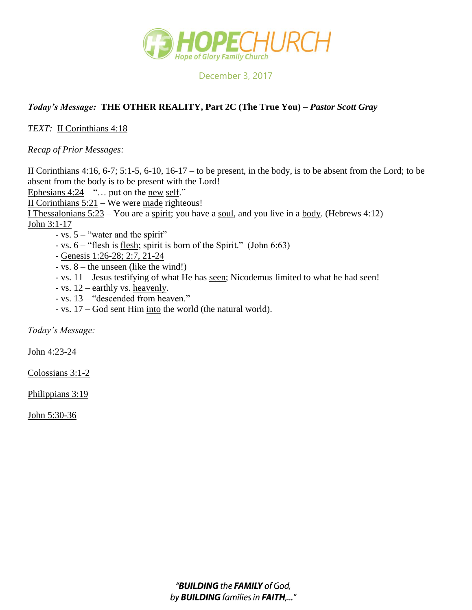

December 3, 2017

## *Today's Message:* **THE OTHER REALITY, Part 2C (The True You) –** *Pastor Scott Gray*

*TEXT:* II Corinthians 4:18

*Recap of Prior Messages:*

II Corinthians 4:16, 6-7; 5:1-5, 6-10, 16-17 – to be present, in the body, is to be absent from the Lord; to be absent from the body is to be present with the Lord! Ephesians  $4:24 - \dots$  put on the new self." II Corinthians  $5:21 -$  We were made righteous! I Thessalonians  $5:23 -$ You are a spirit; you have a soul, and you live in a body. (Hebrews 4:12) John 3:1-17 - vs. 5 – "water and the spirit" - vs. 6 – "flesh is flesh; spirit is born of the Spirit." (John 6:63) - Genesis 1:26-28; 2:7, 21-24

- vs. 8 the unseen (like the wind!)
- vs. 11 Jesus testifying of what He has seen; Nicodemus limited to what he had seen!
- vs. 12 earthly vs. heavenly.
- vs. 13 "descended from heaven."
- vs. 17 God sent Him into the world (the natural world).

*Today's Message:*

John 4:23-24

Colossians 3:1-2

Philippians 3:19

John 5:30-36